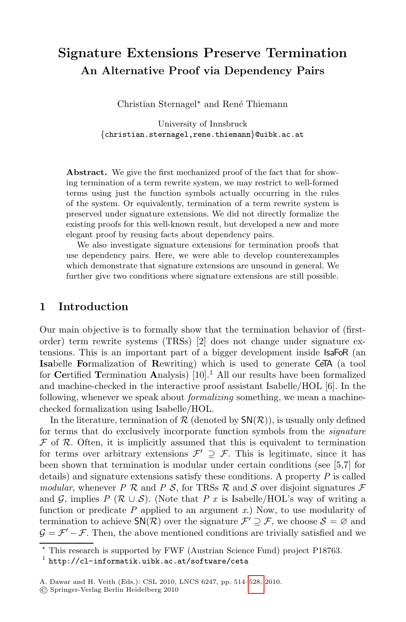# **Signature Extensions Preserve Termination An Alternative Proof via Dependency Pairs**

Christian Sternagel\* and René Thiemann

University of Innsbruck *{*christian.sternagel,rene.thiemann*}*@uibk.ac.at

**Abstract.** We give the first mechanized proof of the fact that for showing termination of a term rewrite system, we may restrict to well-formed terms using just the function symbols actually occurring in the rules of the system. Or equivalently, termination of a term rewrite system is preserved under signature extensions. We did not directly formalize the existing proofs for this well-known result, but developed a new and more elegant proof by reusing facts about dependency pairs.

We also investigate signature extensions for termination proofs that use dependency pairs. Here, we were able to develop counterexamples which demonstrate that signature extensions are unsound in general. We further give two conditions where signature extensions are still possible.

#### **1 Introduction**

Our main objective is to formally show that the termination behavior of (firstorder) term rewrite systems (TRSs) [2] does not change under signature extensions. This is an important part of a bigger development inside IsaFoR (an **Isa**belle **Fo**rmalization of **R**ewriting) which is used to generate CeTA (a tool for **Ce**rtified **T**ermination **A**nalysis) [10].<sup>1</sup> All our results have been formalized and machine-checked in the interactive proof assistant Isabelle/HOL [6]. In the following, whenever we speak about *formalizing* something, we mean a machinechecked formalization using Isabelle/HOL.

In the literature, termination of  $\mathcal R$  (denoted by  $\mathsf{SN}(\mathcal R)$ ), is usually only defined for terms that do exclusively incorporate function symbols from the *signature*  $\mathcal F$  of  $\mathcal R$ . Often, it is implicitly assumed that this is equivalent to termination for terms over arbitrary extensions  $\mathcal{F}' \supseteq \mathcal{F}$ . This is legitimate, since it has been shown that termination is modular under certain conditions (see [5,7] for details) and signature extensions satisfy these conditions. A property *P* is called *modular*, whenever *P*  $\mathcal{R}$  and *P S*, for TRSs  $\mathcal{R}$  and *S* over disjoint signatures  $\mathcal{F}$ and G, implies  $P$  ( $\mathcal{R} \cup \mathcal{S}$ ). (No[te th](#page-14-0)at  $P$  x is Isabelle/HOL's way of writing a function or predicate *P* applied to an argument *x*.) Now, to use modularity of termination to achieve  $\mathsf{SN}(\mathcal{R})$  over the signature  $\mathcal{F}' \supseteq \mathcal{F}$ , we choose  $\mathcal{S} = \emptyset$  and  $\mathcal{G} = \mathcal{F}' - \mathcal{F}$ . Then, the above mentioned conditions are trivially satisfied and we

 $\star$ This research is supported by FWF (Austrian Science Fund) project P18763.

 $1$  http://cl-informatik.uibk.ac.at/software/ceta

A. Dawar and H. Veith (Eds.): CSL 2010, LNCS 6247, pp. 514–528, 2010.

Springer-Verlag Berlin Heidelberg 2010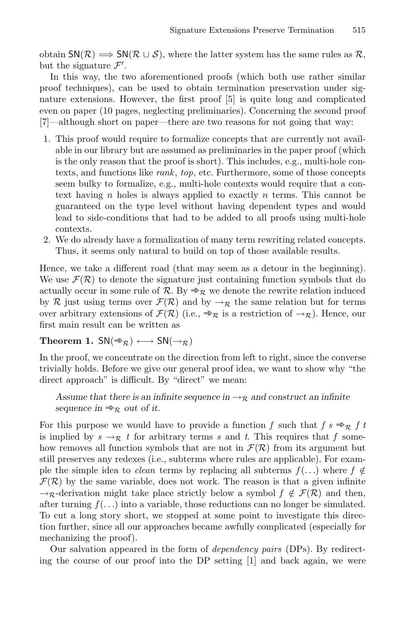obtain  $SN(\mathcal{R}) \Longrightarrow SN(\mathcal{R} \cup \mathcal{S})$ , where the latter system has the same rules as  $\mathcal{R}$ , but the signature  $\mathcal{F}'$ .

In this way, the two aforementioned proofs (which both use rather similar proof techniques), can be used to obtain termination preservation under signature extensions. However, the first proof [5] is quite long and complicated even on paper (10 pages, neglecting preliminaries). Concerning the second proof [7]—although short on paper—there are two reasons for not going that way:

- 1. This proof would require to formalize concepts that are currently not available in our library but are assumed as preliminaries in the paper proof (which is the only reason that the proof is short). This includes, e.g., multi-hole contexts, and functions like *rank*, *top*, etc. Furthermore, some of those concepts seem bulky to formalize, e.g., multi-hole contexts would require that a context having n holes is always applied to exactly n terms. This cannot be guaranteed on the type level without having dependent types and would lead to side-conditions that had to be added to all proofs using multi-hole contexts.
- 2. We do already have a formalization of many term rewriting related concepts. Thus, it seems only natural to build on top of those available results.

Hence, we take a different road (that may seem as a detour in the beginning). We use  $\mathcal{F}(\mathcal{R})$  to denote the signature just containing function symbols that do actually occur in some rule of R. By  $\Rightarrow_R$  we denote the rewrite relation induced by R just using terms over  $\mathcal{F}(\mathcal{R})$  and by  $\rightarrow_{\mathcal{R}}$  the same relation but for terms over arbitrary extensions of  $\mathcal{F}(\mathcal{R})$  (i.e.,  $\Rightarrow_{\mathcal{R}}$  is a restriction of  $\rightarrow_{\mathcal{R}}$ ). Hence, our first main result can be written as

#### **Theorem 1.**  $SN(\Rightarrow_R) \longleftrightarrow SN(\rightarrow_R)$

In the proof, we concentrate on the direction from left to right, since the converse trivially holds. Before we give our general proof idea, we want to show why "the direct approach" is difficult. By "direct" we mean:

*Assume that there is an infinite sequence in*  $\rightarrow_{\mathcal{R}}$  *and construct an infinite sequence in*  $\Rightarrow_R$  *out of it.* 

For this purpose we would have to provide a function *f* such that  $f \circ \mathbb{R}$  f t is implied by  $s \rightarrow_{\mathcal{R}} t$  for arbitrary terms *s* and *t*. This requires that *f* somehow removes all function symbols that are not in  $\mathcal{F}(\mathcal{R})$  from its argument but still preserves any redexes (i.e., subterms where rules are applicable). For example the simple idea to *clean* terms by replacing all subterms  $f(\ldots)$  where  $f \notin$  $\mathcal{F}(\mathcal{R})$  by the same variable, does not work. The reason is that a given infinite  $\rightarrow_{\mathcal{R}}$ -derivation might take place strictly below a symbol  $f \notin \mathcal{F}(\mathcal{R})$  and then, after turning  $f(\ldots)$  into a variable, those reductions can no longer be simulated. To cut a long story short, we stopped at some point to investigate this direction further, since all our approaches became awfully complicated (especially for mechanizing the proof).

Our salvation appeared in the form of *dependency pairs* (DPs). By redirecting the course of our proof into the DP setting [1] and back again, we were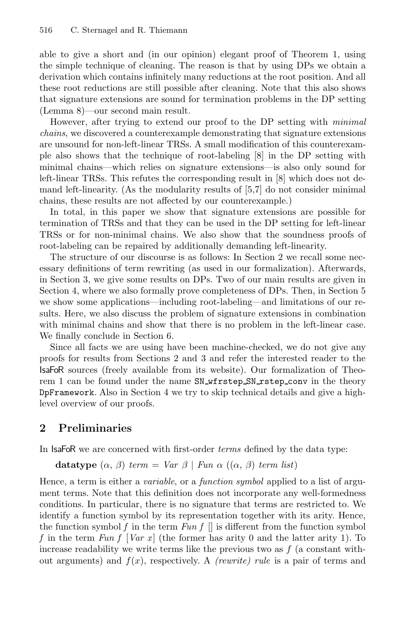able to give a short and (in our opinion) elegant proof of Theorem 1, using the simple technique of cleaning. The reason is that by using DPs we obtain a derivation which contains infinitely many reductions at the root position. And all these root reductions are still possible after cleaning. Note that this also shows that signature extensions are sound for termination problems in the DP setting (Lemma 8)—our second main result.

However, after trying to extend our proof to the DP setting with *minimal chains*, we discovered a counterexample demonstrating that signature extensions are unsound for non-left-linear TRSs. A small modification of this counterexample also shows that the technique of root-labeling [8] in the DP setting with minimal chains—which relies on signature extensions—is also only sound for left-linear TRSs. This refutes the corresponding result in [8] which does not demand left-linearity. (As the modularity results of [5,7] do not consider minimal chains, these results are not affected by our counterexample.)

In total, in this paper we show that signature extensions are possible for termination of TRSs and that they can be used in the DP setting for left-linear TRSs or for non-minimal chains. We also show that the soundness proofs of root-labeling can be repaired by additionally demanding left-linearity.

The structure of our discourse is as follows: In Section 2 we recall some necessary definitions of term rewriting (as used in our formalization). Afterwards, in Section 3, we give some results on DPs. Two of our main results are given in Section 4, where we also formally prove completeness of DPs. Then, in Section 5 we show some applications—including root-labeling—and limitations of our results. Here, we also discuss the problem of signature extensions in combination with minimal chains and show that there is no problem in the left-linear case. We finally conclude in Section 6.

Since all facts we are using have been machine-checked, we do not give any proofs for results from Sections 2 and 3 and refer the interested reader to the IsaFoR sources (freely available from its website). Our formalization of Theorem 1 can be found under the name SN\_wfrstep\_SN\_rstep\_conv in the theory DpFramework. Also in Section 4 we try to skip technical details and give a highlevel overview of our proofs.

# **2 Preliminaries**

In IsaFoR we are concerned with first-order *terms* defined by the data type:

**datatype** 
$$
(\alpha, \beta)
$$
 term = Var  $\beta$  | Fun  $\alpha$   $((\alpha, \beta)$  term list)

Hence, a term is either a *variable*, or a *function symbol* applied to a list of argument terms. Note that this definition does not incorporate any well-formedness conditions. In particular, there is no signature that terms are restricted to. We identify a function symbol by its representation together with its arity. Hence, the function symbol  $f$  in the term  $Fun f$   $\parallel$  is different from the function symbol *f* in the term *Fun f* [*Var x* ] (the former has arity 0 and the latter arity 1). To increase readability we write terms like the previous two as  $f$  (a constant without arguments) and  $f(x)$ , respectively. A *(rewrite) rule* is a pair of terms and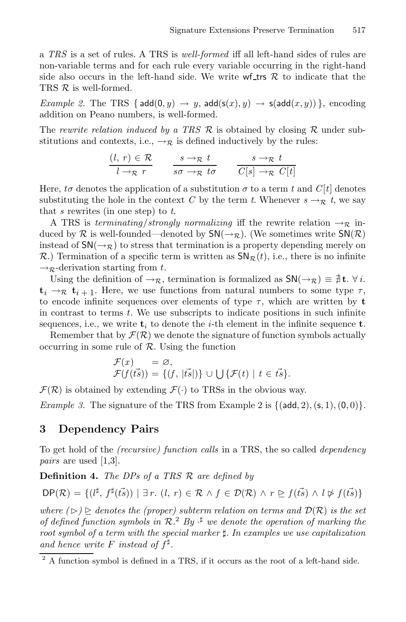a *TRS* is a set of rules. A TRS is *well-formed* iff all left-hand sides of rules are non-variable terms and for each rule every variable occurring in the right-hand side also occurs in the left-hand side. We write  $\mathbf{w}$  for  $\mathcal{R}$  to indicate that the TRS  $R$  is well-formed.

*Example 2.* The TRS { $add(0, y) \rightarrow y$ ,  $add(s(x), y) \rightarrow s(add(x, y))$ }, encoding addition on Peano numbers, is well-formed.

The *rewrite relation induced by a TRS* R is obtained by closing R under substitutions and contexts, i.e.,  $\rightarrow_{\mathcal{R}}$  is defined inductively by the rules:

$$
\frac{(l, r) \in \mathcal{R}}{l \to \mathcal{R} r} \qquad \frac{s \to \mathcal{R} t}{s \sigma \to \mathcal{R} t \sigma} \qquad \frac{s \to \mathcal{R} t}{C[s] \to \mathcal{R} C[t]}
$$

Here, *to* denotes the application of a substitution  $\sigma$  to a term *t* and  $C[t]$  denotes substituting the hole in the context *C* by the term *t*. Whenever  $s \rightarrow \mathbb{R}$  *t*, we say that *s* rewrites (in one step) to *t*.

A TRS is *terminating*/*strongly normalizing* iff the rewrite relation  $\rightarrow_R$  induced by R is well-founded—denoted by  $SN(\rightarrow_R)$ . (We sometimes write  $SN(R)$ ) instead of  $SN(\rightarrow_R)$  to stress that termination is a property depending merely on  $\mathcal{R}$ .) Termination of a specific term is written as  $\mathsf{SN}_{\mathcal{R}}(t)$ , i.e., there is no infinite  $\rightarrow_{\mathcal{R}}$ -derivation starting from t.

Using the definition of  $\rightarrow_R$ , termination is formalized as  $\mathsf{SN}(\rightarrow_R) \equiv \exists \mathbf{t} \cdot \forall i$ .  $t_i \rightarrow \mathbb{R}$   $t_{i+1}$ . Here, we use functions from natural numbers to some type  $\tau$ , to encode infinite sequences over elements of type  $\tau$ , which are written by **t** in contrast to terms  $t$ . We use subscripts to indicate positions in such infinite sequences, i.e., we write  $t_i$  to denote the *i*-th element in the infinite sequence  $t$ .

Remember that by  $\mathcal{F}(\mathcal{R})$  we denote the signature of function symbols actually occurring in some rule of  $R$ . Using the function

$$
\mathcal{F}(x) = \varnothing, \n\mathcal{F}(f(\vec{ts})) = \{(f, |\vec{ts}|)\} \cup \bigcup \{\mathcal{F}(t) | t \in \vec{ts}\}.
$$

 $\mathcal{F}(\mathcal{R})$  is obtained by extending  $\mathcal{F}(\cdot)$  to TRSs in the obvious way.

*Example 3.* The signature of the TRS from Example 2 is  $\{(\text{add}, 2), (\text{s}, 1), (0, 0)\}.$ 

#### **3 Dependency Pairs**

To get hold of the *(recursive) function calls* in a TRS, the so called *dependency pairs* are used [1,3].

**Definition 4.** *The DPs of a TRS* R *are defined by*

 $DP(\mathcal{R}) = \{ (l^{\sharp}, f^{\sharp}(\vec{ts})) \mid \exists r \ldotp (l, r) \in \mathcal{R} \land f \in \mathcal{D}(\mathcal{R}) \land r \geq f(\vec{ts}) \land l \not\triangleright f(\vec{ts}) \}$ 

where  $(\triangleright) \trianglerighteq$  denotes the (proper) subterm relation on terms and  $\mathcal{D}(\mathcal{R})$  is the set *of defined function symbols in* R*.* <sup>2</sup> *By* · *we denote the operation of marking the root symbol of a term with the special marker . In examples we use capitalization* and hence write F instead of  $f^{\sharp}$ .

 $2$  A function symbol is defined in a TRS, if it occurs as the root of a left-hand side.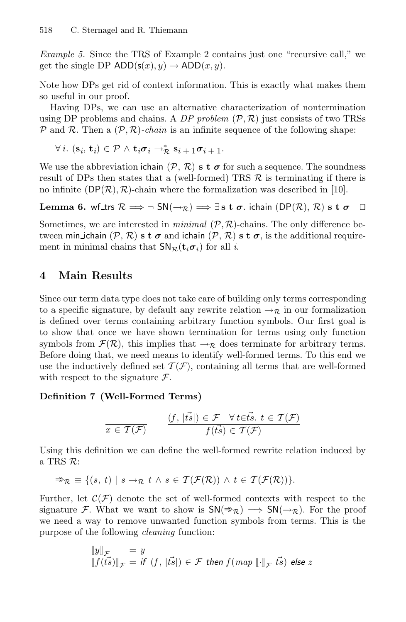*Example 5.* Since the TRS of Example 2 contains just one "recursive call," we get the single DP  $ADD(s(x), y) \rightarrow ADD(x, y)$ .

Note how DPs get rid of context information. This is exactly what makes them so useful in our proof.

Having DPs, we can use an alternative characterization of nontermination using DP problems and chains. A *DP problem*  $(\mathcal{P}, \mathcal{R})$  just consists of two TRSs  $\mathcal P$  and  $\mathcal R$ . Then a  $(\mathcal P, \mathcal R)$ *-chain* is an infinite sequence of the following shape:

 $\forall i. (\mathbf{s}_i, \mathbf{t}_i) \in \mathcal{P} \land \mathbf{t}_i \boldsymbol{\sigma}_i \rightarrow_{\mathcal{R}}^* \mathbf{s}_i + \mathbf{1} \boldsymbol{\sigma}_i + \mathbf{1} \cdot$ 

We use the abbreviation ichain  $(\mathcal{P}, \mathcal{R})$  **s t**  $\sigma$  for such a sequence. The soundness result of DPs then states that a (well-formed) TRS  $\mathcal{R}$  is terminating if there is no infinite  $(DP(\mathcal{R}), \mathcal{R})$ -chain where the formalization was described in [10].

**Lemma 6.** wf\_trs  $\mathcal{R} \implies \neg \text{ SN}(\rightarrow_R) \implies \exists \text{ s } \text{ t } \sigma$ . ichain (DP(R), R) s  $\text{ t } \sigma$ 

Sometimes, we are interested in *minimal*  $(P, R)$ -chains. The only difference between min ichain  $(\mathcal{P}, \mathcal{R})$  **s t**  $\sigma$  and ichain  $(\mathcal{P}, \mathcal{R})$  **s t**  $\sigma$ , is the additional requirement in minimal chains that  $SN_{\mathcal{R}}(\mathbf{t}_i \sigma_i)$  for all *i*.

# **4 Main Results**

Since our term data type does not take care of building only terms corresponding to a specific signature, by default any rewrite relation  $\rightarrow_{\mathcal{R}}$  in our formalization is defined over terms containing arbitrary function symbols. Our first goal is to show that once we have shown termination for terms using only function symbols from  $\mathcal{F}(\mathcal{R})$ , this implies that  $\rightarrow_{\mathcal{R}}$  does terminate for arbitrary terms. Before doing that, we need means to identify well-formed terms. To this end we use the inductively defined set  $\mathcal{T}(\mathcal{F})$ , containing all terms that are well-formed with respect to the signature  $\mathcal{F}$ .

#### **Definition 7 (Well-Formed Terms)**

$$
\frac{(f, |\vec{ts}|) \in \mathcal{F} \quad \forall t \in \vec{ts}, t \in \mathcal{T}(\mathcal{F})}{f(\vec{ts}) \in \mathcal{T}(\mathcal{F})}
$$

Using this definition we can define the well-formed rewrite relation induced by a TRS R:

$$
\Rightarrow_{\mathcal{R}} \equiv \{ (s, t) \mid s \rightarrow_{\mathcal{R}} t \land s \in \mathcal{T}(\mathcal{F}(\mathcal{R})) \land t \in \mathcal{T}(\mathcal{F}(\mathcal{R})) \}.
$$

Further, let  $\mathcal{C}(\mathcal{F})$  denote the set of well-formed contexts with respect to the signature F. What we want to show is  $SN(\Rightarrow_R) \implies SN(\rightarrow_R)$ . For the proof we need a way to remove unwanted function symbols from terms. This is the purpose of the following *cleaning* function:

$$
\begin{array}{ll}\n\llbracket y \rrbracket_{\mathcal{F}} & = y \\
\llbracket f(t\vec{s}) \rrbracket_{\mathcal{F}} & = \text{if } (f, |\vec{ts}|) \in \mathcal{F} \text{ then } f(\text{map } [\![\cdot]\!]_{\mathcal{F}} \text{ } \vec{ts}) \text{ else } z\n\end{array}
$$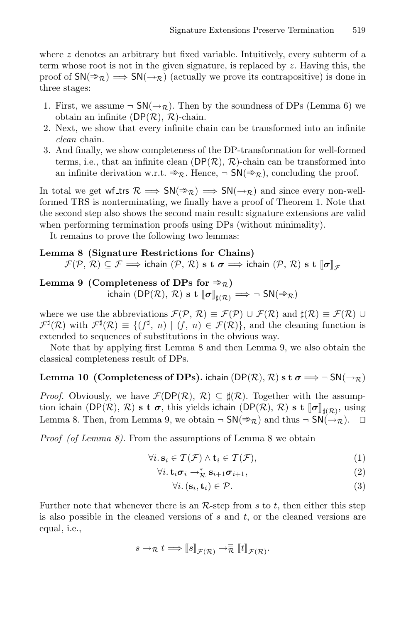where  $z$  denotes an arbitrary but fixed variable. Intuitively, every subterm of a term whose root is not in the given signature, is replaced by  $z$ . Having this, the proof of  $SN(\Rightarrow_R) \implies SN(\rightarrow_R)$  (actually we prove its contrapositive) is done in three stages:

- 1. First, we assume  $\neg SM(\rightarrow_R)$ . Then by the soundness of DPs (Lemma 6) we obtain an infinite  $(DP(\mathcal{R}), \mathcal{R})$ -chain.
- 2. Next, we show that every infinite chain can be transformed into an infinite *clean* chain.
- 3. And finally, we show completeness of the DP-transformation for well-formed terms, i.e., that an infinite clean  $(DP(\mathcal{R}), \mathcal{R})$ -chain can be transformed into an infinite derivation w.r.t.  $\Rightarrow_{\mathcal{R}}$ . Hence,  $\neg SN(\Rightarrow_{\mathcal{R}})$ , concluding the proof.

In total we get wf\_trs  $\mathcal{R} \implies SN(\Rightarrow_{\mathcal{R}}) \implies SN(\rightarrow_{\mathcal{R}})$  and since every non-wellformed TRS is nonterminating, we finally have a proof of Theorem 1. Note that the second step also shows the second main result: signature extensions are valid when performing termination proofs using DPs (without minimality).

It remains to prove the following two lemmas:

#### **Lemma 8 (Signature Restrictions for Chains)**

 $\mathcal{F}(\mathcal{P}, \mathcal{R}) \subseteq \mathcal{F} \Longrightarrow$  ichain  $(\mathcal{P}, \mathcal{R})$  s t  $\sigma \Longrightarrow$  ichain  $(\mathcal{P}, \mathcal{R})$  s t  $\llbracket \sigma \rrbracket_{\mathcal{F}}$ 

**Lemma 9** (Completeness of DPs for  $\Rightarrow_{\mathcal{R}}$ )  $\mathsf{ichain}\ (\mathsf{DP}(\mathcal{R}),\ \mathcal{R})\ \mathtt{s}\ \mathtt{t}\ [\![\boldsymbol{\sigma}]\!]_{\sharp(\mathcal{R})} \Longrightarrow \neg\ \mathsf{SN}(\Rrightarrow \mathcal{R})$ 

where we use the abbreviations  $\mathcal{F}(\mathcal{P}, \mathcal{R}) \equiv \mathcal{F}(\mathcal{P}) \cup \mathcal{F}(\mathcal{R})$  and  $\sharp(\mathcal{R}) \equiv \mathcal{F}(\mathcal{R}) \cup$  $\mathcal{F}^{\sharp}(\mathcal{R})$  with  $\mathcal{F}^{\sharp}(\mathcal{R}) \equiv \{ (f^{\sharp}, n) \mid (f, n) \in \mathcal{F}(\mathcal{R}) \}$ , and the cleaning function is extended to sequences of substitutions in the obvious way.

Note that by applying first Lemma 8 and then Lemma 9, we also obtain the classical completeness result of DPs.

### **Lemma 10 (Completeness of DPs).** ichain (DP( $\mathcal{R}$ ),  $\mathcal{R}$ ) **s t**  $\sigma \Longrightarrow \neg \text{SN}(\rightarrow_{\mathcal{R}})$

*Proof.* Obviously, we have  $\mathcal{F}(DP(\mathcal{R}), \mathcal{R}) \subseteq \sharp(\mathcal{R})$ . Together with the assumption ichain (DP( $\mathcal{R}$ ),  $\mathcal{R}$ ) **s t**  $\sigma$ , this yields ichain (DP( $\mathcal{R}$ ),  $\mathcal{R}$ ) **s t**  $\llbracket \sigma \rrbracket_{\sharp(\mathcal{R})}$ , using Lemma 8. Then, from Lemma 9, we obtain  $\neg SN(\nArr\negthinspace_{\mathcal{R}})$  and thus  $\neg SN(\nArr\negthinspace_{\mathcal{R}})$ .  $\Box$ 

*Proof (of Lemma 8)*. From the assumptions of Lemma 8 we obtain

$$
\forall i. \, \mathbf{s}_i \in \mathcal{T}(\mathcal{F}) \land \mathbf{t}_i \in \mathcal{T}(\mathcal{F}), \tag{1}
$$

$$
\forall i. \mathbf{t}_i \boldsymbol{\sigma}_i \rightarrow_{\mathcal{R}}^* \mathbf{s}_{i+1} \boldsymbol{\sigma}_{i+1}, \qquad (2)
$$

$$
\forall i. \, (\mathbf{s}_i, \mathbf{t}_i) \in \mathcal{P}.\tag{3}
$$

Further note that whenever there is an  $\mathcal{R}\text{-step}$  from s to t, then either this step is also possible in the cleaned versions of  $s$  and  $t$ , or the cleaned versions are equal, i.e.,

$$
s \to_{\mathcal{R}} t \Longrightarrow [[s]]_{\mathcal{F}(\mathcal{R})} \to_{\mathcal{R}}^{\equiv} [[t]]_{\mathcal{F}(\mathcal{R})}.
$$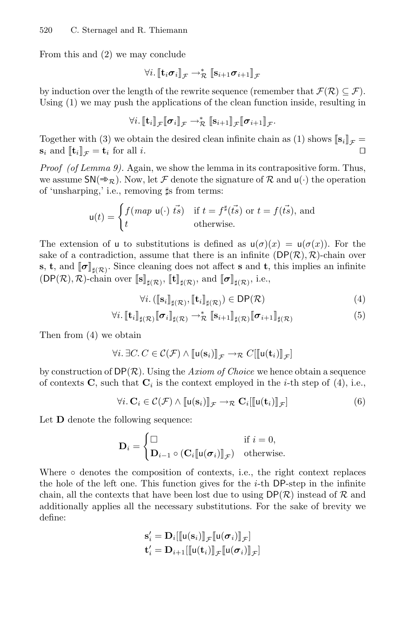From this and (2) we may conclude

$$
\forall i. \llbracket \mathbf{t}_i \boldsymbol{\sigma}_i \rrbracket_{\mathcal{F}} \rightarrow_{\mathcal{R}}^* \llbracket \mathbf{s}_{i+1} \boldsymbol{\sigma}_{i+1} \rrbracket_{\mathcal{F}}
$$

by induction over the length of the rewrite sequence (remember that  $\mathcal{F}(\mathcal{R}) \subset \mathcal{F}$ ). Using (1) we may push the applications of the clean function inside, resulting in

$$
\forall i.\, \llbracket \mathbf{t}_i \rrbracket_{\mathcal{F}} \llbracket \boldsymbol{\sigma}_i \rrbracket_{\mathcal{F}} \rightarrow^*_{\mathcal{R}} \llbracket \mathbf{s}_{i+1} \rrbracket_{\mathcal{F}} \llbracket \boldsymbol{\sigma}_{i+1} \rrbracket_{\mathcal{F}}.
$$

Together with (3) we obtain the desired clean infinite chain as (1) shows  $[\mathbf{s}_i]_{\mathcal{F}} =$  $\mathbf{s}_i$  and  $[\![\mathbf{t}_i]\!]_{\mathcal{F}} = \mathbf{t}_i$  for all i.

*Proof (of Lemma 9).* Again, we show the lemma in its contrapositive form. Thus, we assume  $SN(\nArr_{\mathcal{R}})$ . Now, let F denote the signature of R and  $u(\cdot)$  the operation of 'unsharping,' i.e., removing  $\sharp s$  from terms:

$$
\mathbf{u}(t) = \begin{cases} f(\text{map } \mathbf{u}(\cdot) \ \vec{ts}) & \text{if } t = f^{\sharp}(\vec{ts}) \text{ or } t = f(\vec{ts}), \text{ and} \\ t & \text{otherwise.} \end{cases}
$$

The extension of u to substitutions is defined as  $u(\sigma)(x) = u(\sigma(x))$ . For the sake of a contradiction, assume that there is an infinite  $(DP(\mathcal{R}), \mathcal{R})$ -chain over **s**, **t**, and  $[\![\sigma]\!]_{\sharp(\mathcal{R})}$ . Since cleaning does not affect **s** and **t**, this implies an infinite  $(DP(\mathcal{R}), \mathcal{R})$ -chain over  $\llbracket \mathbf{s} \rrbracket_{\sharp(\mathcal{R})}$ ,  $\llbracket \mathbf{t} \rrbracket_{\sharp(\mathcal{R})}$ , and  $\llbracket \boldsymbol{\sigma} \rrbracket_{\sharp(\mathcal{R})}$ , i.e.,

$$
\forall i. \left( [\![\mathbf{s}_i]\!]_{\sharp(\mathcal{R})}, [\![\mathbf{t}_i]\!]_{\sharp(\mathcal{R})} \right) \in \mathsf{DP}(\mathcal{R})\tag{4}
$$

$$
\forall i. \left[\![\mathbf{t}_i\right]\!]_{\sharp(\mathcal{R})} \left[\![\boldsymbol{\sigma}_i\right]\!]_{\sharp(\mathcal{R})} \to_{\mathcal{R}}^* \left[\![\mathbf{s}_{i+1}\right]\!]_{\sharp(\mathcal{R})} \left[\![\boldsymbol{\sigma}_{i+1}\right]\!]_{\sharp(\mathcal{R})} \tag{5}
$$

Then from (4) we obtain

$$
\forall i. \,\exists C. \, C \in \mathcal{C}(\mathcal{F}) \land [\![\mathsf{u}(\mathbf{s}_i)]\!]_{\mathcal{F}} \rightarrow_{\mathcal{R}} C[[\![\mathsf{u}(\mathbf{t}_i)]\!]_{\mathcal{F}}]
$$

by construction of  $DP(R)$ . Using the *Axiom of Choice* we hence obtain a sequence of contexts  $C$ , such that  $C_i$  is the context employed in the *i*-th step of (4), i.e.,

$$
\forall i. \mathbf{C}_i \in \mathcal{C}(\mathcal{F}) \land [\![\mathbf{u}(\mathbf{s}_i)]\!]_{\mathcal{F}} \rightarrow_{\mathcal{R}} \mathbf{C}_i [\![\mathbf{u}(\mathbf{t}_i)]\!]_{\mathcal{F}}] \tag{6}
$$

Let **D** denote the following sequence:

$$
\mathbf{D}_{i} = \begin{cases} \Box & \text{if } i = 0, \\ \mathbf{D}_{i-1} \circ (\mathbf{C}_{i}[\![\mathsf{u}(\boldsymbol{\sigma}_{i})]\!]_{\mathcal{F}}) & \text{otherwise.} \end{cases}
$$

Where ∘ denotes the composition of contexts, i.e., the right context replaces the hole of the left one. This function gives for the  $i$ -th DP-step in the infinite chain, all the contexts that have been lost due to using  $\mathsf{DP}(\mathcal{R})$  instead of  $\mathcal R$  and additionally applies all the necessary substitutions. For the sake of brevity we define:

$$
\mathbf{s}'_i = \mathbf{D}_i[\llbracket \mathbf{u}(\mathbf{s}_i) \rrbracket_{\mathcal{F}}[\llbracket \mathbf{u}(\boldsymbol{\sigma}_i) \rrbracket_{\mathcal{F}}]
$$

$$
\mathbf{t}'_i = \mathbf{D}_{i+1}[\llbracket \mathbf{u}(\mathbf{t}_i) \rrbracket_{\mathcal{F}}[\llbracket \mathbf{u}(\boldsymbol{\sigma}_i) \rrbracket_{\mathcal{F}}]
$$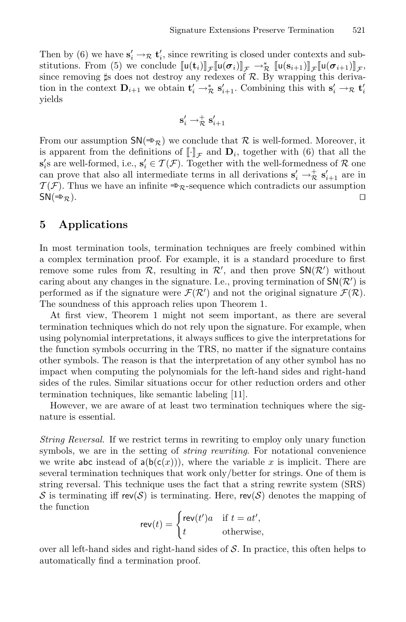Then by (6) we have  $\mathbf{s}'_i \to \mathbf{r}$  **t**<sub>i</sub>, since rewriting is closed under contexts and substitutions. From (5) we conclude  $[\![\mathsf{u}(\mathbf{t}_i)]\!]_{\mathcal{F}} [\![\mathsf{u}(\sigma_i)]\!]_{\mathcal{F}} \to_{\mathcal{R}}^* [\![\mathsf{u}(\mathbf{s}_{i+1})\!]_{\mathcal{F}} [\![\mathsf{u}(\sigma_{i+1})\!]_{\mathcal{F}},$ since removing  $\sharp s$  does not destroy any redexes of  $R$ . By wrapping this derivation in the context  $\mathbf{D}_{i+1}$  we obtain  $\mathbf{t}'_i \to_{\mathcal{R}}^* \mathbf{s}'_{i+1}$ . Combining this with  $\mathbf{s}'_i \to_{\mathcal{R}} \mathbf{t}'_i$ yields

$$
\mathbf{s}_i' \to_{\mathcal{R}}^+ \mathbf{s}_{i+1}'
$$

From our assumption  $\mathsf{SN}(\Rrightarrow_{\mathcal{R}})$  we conclude that  $\mathcal R$  is well-formed. Moreover, it is apparent from the definitions of  $\llbracket \cdot \rrbracket_{\mathcal{F}}$  and  $\mathbf{D}_i$ , together with (6) that all the **s**<sup>1</sup><sub>2</sub>'s are well-formed, i.e.,  $\mathbf{s}'_i \in \mathcal{T}(\mathcal{F})$ . Together with the well-formedness of R one can prove that also all intermediate terms in all derivations  $\mathbf{s}'_i \to \mathcal{R} \mathbf{s}'_{i+1}$  are in  $\mathcal{T}(\mathcal{F})$ . Thus we have an infinite  $\Rightarrow_{\mathcal{R}}$ -sequence which contradicts our assumption  $SN(\Rightarrow_{\mathcal{R}})$ .  $SN(\Rightarrow_{\mathcal{R}})$ .

# **5 Applications**

In most termination tools, termination techniques are freely combined within a complex termination proof. For example, it is a standard procedure to first remove some rules from  $\mathcal{R}$ , resulting in  $\mathcal{R}'$ , and then prove  $\mathsf{SN}(\mathcal{R}')$  without caring about any changes in the signature. I.e., proving termination of  $\mathsf{SN}(\mathcal{R}')$  is performed as if the signature were  $\mathcal{F}(\mathcal{R}')$  and not the original signature  $\mathcal{F}(\mathcal{R})$ . The soundness of this approach relies upon Theorem 1.

At first view, Theorem 1 might not seem important, as there are several termination techniques which do not rely upon the signature. For example, when using polynomial interpretations, it always suffices to give the interpretations for the function symbols occurring in the TRS, no matter if the signature contains other symbols. The reason is that the interpretation of any other symbol has no impact when computing the polynomials for the left-hand sides and right-hand sides of the rules. Similar situations occur for other reduction orders and other termination techniques, like semantic labeling [11].

However, we are aware of at least two termination techniques where the signature is essential.

*String Reversal.* If we restrict terms in rewriting to employ only unary function symbols, we are in the setting of *string rewriting*. For notational convenience we write abc instead of  $a(b(c(x)))$ , where the variable x is implicit. There are several termination techniques that work only/better for strings. One of them is string reversal. This technique uses the fact that a string rewrite system (SRS) S is terminating iff rev(S) is terminating. Here, rev(S) denotes the mapping of the function

$$
\mathsf{rev}(t) = \begin{cases} \mathsf{rev}(t')a & \text{if } t = at', \\ t & \text{otherwise,} \end{cases}
$$

over all left-hand sides and right-hand sides of  $S$ . In practice, this often helps to automatically find a termination proof.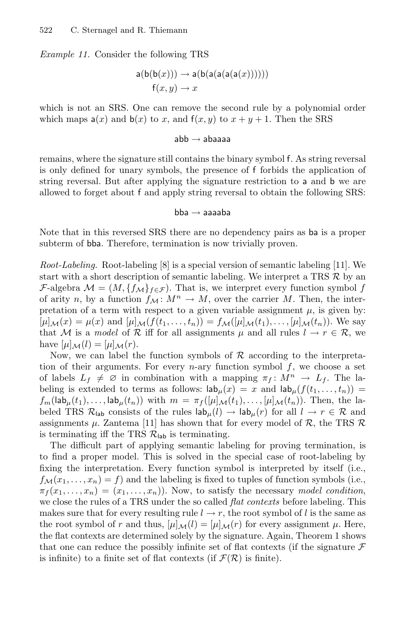*Example 11.* Consider the following TRS

$$
\mathsf{a}(\mathsf{b}(\mathsf{b}(x))) \to \mathsf{a}(\mathsf{b}(\mathsf{a}(\mathsf{a}(\mathsf{a}(\mathsf{a}(x))))))
$$

$$
\mathsf{f}(x, y) \to x
$$

which is not an SRS. One can remove the second rule by a polynomial order which maps  $a(x)$  and  $b(x)$  to x, and  $f(x, y)$  to  $x + y + 1$ . Then the SRS

#### $abb \rightarrow abaa$ aa

remains, where the signature still contains the binary symbol f. As string reversal is only defined for unary symbols, the presence of f forbids the application of string reversal. But after applying the signature restriction to a and b we are allowed to forget about f and apply string reversal to obtain the following SRS:

#### $bba \rightarrow a$ aaaba

Note that in this reversed SRS there are no dependency pairs as ba is a proper subterm of bba. Therefore, termination is now trivially proven.

*Root-Labeling.* Root-labeling [8] is a special version of semantic labeling [11]. We start with a short description of semantic labeling. We interpret a TRS  $\mathcal{R}$  by an F-algebra  $\mathcal{M} = (M, \{f_{\mathcal{M}}\}_{f \in \mathcal{F}})$ . That is, we interpret every function symbol f of arity n, by a function  $f_M: M^n \to M$ , over the carrier M. Then, the interpretation of a term with respect to a given variable assignment  $\mu$ , is given by:  $[\mu]_{\mathcal{M}}(x) = \mu(x)$  and  $[\mu]_{\mathcal{M}}(f(t_1,\ldots,t_n)) = f_{\mathcal{M}}([\mu]_{\mathcal{M}}(t_1),\ldots,[\mu]_{\mathcal{M}}(t_n)).$  We say that M is a *model* of R iff for all assignments  $\mu$  and all rules  $l \to r \in \mathcal{R}$ , we have  $[\mu]_{\mathcal{M}}(l)=[\mu]_{\mathcal{M}}(r)$ .

Now, we can label the function symbols of  $R$  according to the interpretation of their arguments. For every *n*-ary function symbol  $f$ , we choose a set of labels  $L_f \neq \emptyset$  in combination with a mapping  $\pi_f : M^n \to L_f$ . The labeling is extended to terms as follows:  $\mathsf{lab}_{\mu}(x) = x$  and  $\mathsf{lab}_{\mu}(f(t_1,...,t_n)) =$  $f_m(\textsf{lab}_\mu(t_1),\ldots,\textsf{lab}_\mu(t_n))$  with  $m = \pi_f([\mu]_{\mathcal{M}}(t_1),\ldots,[\mu]_{\mathcal{M}}(t_n)).$  Then, the labeled TRS  $\mathcal{R}_{\text{lab}}$  consists of the rules  $\mathsf{lab}_{\mu}(l) \to \mathsf{lab}_{\mu}(r)$  for all  $l \to r \in \mathcal{R}$  and assignments  $\mu$ . Zantema [11] has shown that for every model of R, the TRS R is terminating iff the TRS  $\mathcal{R}_{\text{lab}}$  is terminating.

The difficult part of applying semantic labeling for proving termination, is to find a proper model. This is solved in the special case of root-labeling by fixing the interpretation. Every function symbol is interpreted by itself (i.e.,  $f_{\mathcal{M}}(x_1,\ldots,x_n) = f$  and the labeling is fixed to tuples of function symbols (i.e.,  $\pi_f(x_1,\ldots,x_n)=(x_1,\ldots,x_n)$ . Now, to satisfy the necessary *model condition*, we close the rules of a TRS under the so called *flat contexts* before labeling. This makes sure that for every resulting rule  $l \rightarrow r$ , the root symbol of l is the same as the root symbol of r and thus,  $[\mu]_{\mathcal{M}}(l)=[\mu]_{\mathcal{M}}(r)$  for every assignment  $\mu$ . Here, the flat contexts are determined solely by the signature. Again, Theorem 1 shows that one can reduce the possibly infinite set of flat contexts (if the signature  $\mathcal F$ is infinite) to a finite set of flat contexts (if  $\mathcal{F}(\mathcal{R})$  is finite).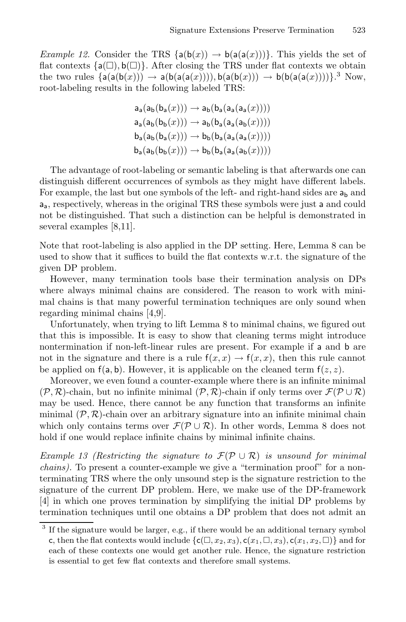*Example 12.* Consider the TRS  $\{a(b(x)) \rightarrow b(a(a(x)))\}$ . This yields the set of flat contexts  ${a(\Box), b(\Box)}$ . After closing the TRS under flat contexts we obtain the two rules  $\{a(a(b(x))) \rightarrow a(b(a(a(x))))$ ,  $b(a(b(x))) \rightarrow b(b(a(a(x))))\}$ .<sup>3</sup> Now, root-labeling results in the following labeled TRS:

$$
a_{a}(a_{b}(b_{a}(x))) \rightarrow a_{b}(b_{a}(a_{a}(a_{a}(x))))
$$
  
\n
$$
a_{a}(a_{b}(b_{b}(x))) \rightarrow a_{b}(b_{a}(a_{a}(a_{b}(x))))
$$
  
\n
$$
b_{a}(a_{b}(b_{a}(x))) \rightarrow b_{b}(b_{a}(a_{a}(a_{a}(x))))
$$
  
\n
$$
b_{a}(a_{b}(b_{b}(x))) \rightarrow b_{b}(b_{a}(a_{a}(a_{b}(x))))
$$

The advantage of root-labeling or semantic labeling is that afterwards one can distinguish different occurrences of symbols as they might have different labels. For example, the last but one symbols of the left- and right-hand sides are  $a_{\rm b}$  and aa, respectively, whereas in the original TRS these symbols were just a and could not be distinguished. That such a distinction can be helpful is demonstrated in several examples [8,11].

Note that root-labeling is also applied in the DP setting. Here, Lemma 8 can be used to show that it suffices to build the flat contexts w.r.t. the signature of the given DP problem.

However, many termination tools base their termination analysis on DPs where always minimal chains are considered. The reason to work with minimal chains is that many powerful termination techniques are only sound when regarding minimal chains [4,9].

Unfortunately, when trying to lift Lemma 8 to minimal chains, we figured out that this is impossible. It is easy to show that cleaning terms might introduce nontermination if non-left-linear rules are present. For example if a and b are not in the signature and there is a rule  $f(x, x) \rightarrow f(x, x)$ , then this rule cannot be applied on  $f(a, b)$ . However, it is applicable on the cleaned term  $f(z, z)$ .

Moreover, we even found a counter-example where there is an infinite minimal  $(\mathcal{P}, \mathcal{R})$ -chain, but no infinite minimal  $(\mathcal{P}, \mathcal{R})$ -chain if only terms over  $\mathcal{F}(\mathcal{P} \cup \mathcal{R})$ may be used. Hence, there cannot be any function that transforms an infinite minimal  $(\mathcal{P}, \mathcal{R})$ -chain over an arbitrary signature into an infinite minimal chain which only contains terms over  $\mathcal{F}(\mathcal{P}\cup\mathcal{R})$ . In other words, Lemma 8 does not hold if one would replace infinite chains by minimal infinite chains.

*Example 13 (Restricting the signature to* F(P∪R) *is unsound for minimal chains).* To present a counter-example we give a "termination proof" for a nonterminating TRS where the only unsound step is the signature restriction to the signature of the current DP problem. Here, we make use of the DP-framework [4] in which one proves termination by simplifying the initial DP problems by termination techniques until one obtains a DP problem that does not admit an

<sup>&</sup>lt;sup>3</sup> If the signature would be larger, e.g., if there would be an additional ternary symbol c, then the flat contexts would include  $\{\mathsf{c}(\Box, x_2, x_3), \mathsf{c}(x_1, \Box, x_3), \mathsf{c}(x_1, x_2, \Box)\}\$  and for each of these contexts one would get another rule. Hence, the signature restriction is essential to get few flat contexts and therefore small systems.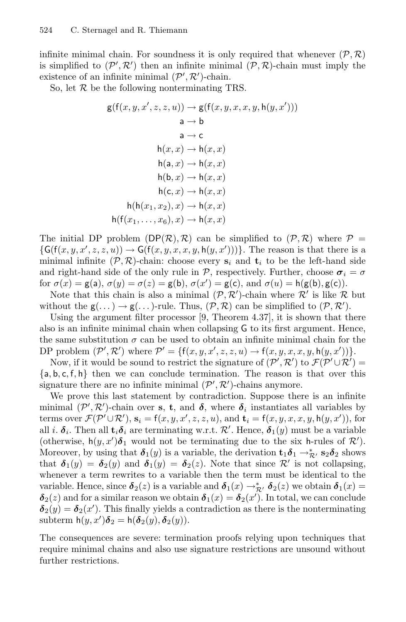infinite minimal chain. For soundness it is only required that whenever  $(\mathcal{P}, \mathcal{R})$ is simplified to  $(\mathcal{P}', \mathcal{R}')$  then an infinite minimal  $(\mathcal{P}, \mathcal{R})$ -chain must imply the existence of an infinite minimal  $(\mathcal{P}', \mathcal{R}')$ -chain.

So, let  $R$  be the following nonterminating TRS.

$$
g(f(x, y, x', z, z, u)) \rightarrow g(f(x, y, x, x, y, h(y, x')))
$$
\n
$$
a \rightarrow b
$$
\n
$$
a \rightarrow c
$$
\n
$$
h(x, x) \rightarrow h(x, x)
$$
\n
$$
h(a, x) \rightarrow h(x, x)
$$
\n
$$
h(b, x) \rightarrow h(x, x)
$$
\n
$$
h(c, x) \rightarrow h(x, x)
$$
\n
$$
h(c, x) \rightarrow h(x, x)
$$
\n
$$
h(f(x_1, x_2), x) \rightarrow h(x, x)
$$
\n
$$
h(f(x_1, \ldots, x_6), x) \rightarrow h(x, x)
$$

The initial DP problem  $(DP(\mathcal{R}), \mathcal{R})$  can be simplified to  $(\mathcal{P}, \mathcal{R})$  where  $\mathcal{P} =$  $\{\mathsf{G}(\mathsf{f}(x,y,x',z,z,u)) \to \mathsf{G}(\mathsf{f}(x,y,x,x,y,\mathsf{h}(y,x')))\}.$  The reason is that there is a minimal infinite  $(\mathcal{P}, \mathcal{R})$ -chain: choose every  $s_i$  and  $t_i$  to be the left-hand side and right-hand side of the only rule in P, respectively. Further, choose  $\sigma_i = \sigma$ for  $\sigma(x) = g(a), \sigma(y) = \sigma(z) = g(b), \sigma(x') = g(c), \text{ and } \sigma(u) = h(g(b), g(c)).$ 

Note that this chain is also a minimal  $(\mathcal{P}, \mathcal{R}')$ -chain where  $\mathcal{R}'$  is like  $\mathcal{R}$  but without the  $g(\dots) \to g(\dots)$ -rule. Thus,  $(\mathcal{P}, \mathcal{R})$  can be simplified to  $(\mathcal{P}, \mathcal{R}')$ .

Using the argument filter processor  $[9,$  Theorem 4.37, it is shown that there also is an infinite minimal chain when collapsing G to its first argument. Hence, the same substitution  $\sigma$  can be used to obtain an infinite minimal chain for the DP problem  $(\mathcal{P}', \mathcal{R}')$  where  $\mathcal{P}' = \{f(x, y, x', z, z, u) \rightarrow f(x, y, x, x, y, h(y, x'))\}.$ 

Now, if it would be sound to restrict the signature of  $(\mathcal{P}', \mathcal{R}')$  to  $\mathcal{F}(\mathcal{P}' \cup \mathcal{R}') =$  $\{a, b, c, f, h\}$  then we can conclude termination. The reason is that over this signature there are no infinite minimal  $(\mathcal{P}', \mathcal{R}')$ -chains anymore.

We prove this last statement by contradiction. Suppose there is an infinite minimal  $(\mathcal{P}', \mathcal{R}')$ -chain over **s**, **t**, and  $\boldsymbol{\delta}$ , where  $\boldsymbol{\delta}_i$  instantiates all variables by terms over  $\mathcal{F}(\mathcal{P}' \cup \mathcal{R}')$ ,  $\mathbf{s}_i = f(x, y, x', z, z, u)$ , and  $\mathbf{t}_i = f(x, y, x, x, y, h(y, x'))$ , for all *i*.  $\delta_i$ . Then all  $\mathbf{t}_i \delta_i$  are terminating w.r.t.  $\mathcal{R}'$ . Hence,  $\delta_1(y)$  must be a variable (otherwise,  $h(y, x')\delta_1$  would not be terminating due to the six h-rules of  $\mathcal{R}'$ ). Moreover, by using that  $\delta_1(y)$  is a variable, the derivation  $\mathbf{t}_1 \delta_1 \rightarrow_{\mathcal{R}}^* s_2 \delta_2$  shows that  $\delta_1(y) = \delta_2(y)$  and  $\delta_1(y) = \delta_2(z)$ . Note that since  $\mathcal{R}'$  is not collapsing, whenever a term rewrites to a variable then the term must be identical to the variable. Hence, since  $\delta_2(z)$  is a variable and  $\delta_1(x) \to_{\mathcal{R}}^* \delta_2(z)$  we obtain  $\delta_1(x) =$  $\boldsymbol{\delta}_2(z)$  and for a similar reason we obtain  $\boldsymbol{\delta}_1(x) = \boldsymbol{\delta}_2(x')$ . In total, we can conclude  $\delta_2(y) = \delta_2(x')$ . This finally yields a contradiction as there is the nonterminating subterm  $h(y, x')\delta_2 = h(\delta_2(y), \delta_2(y)).$ 

The consequences are severe: termination proofs relying upon techniques that require minimal chains and also use signature restrictions are unsound without further restrictions.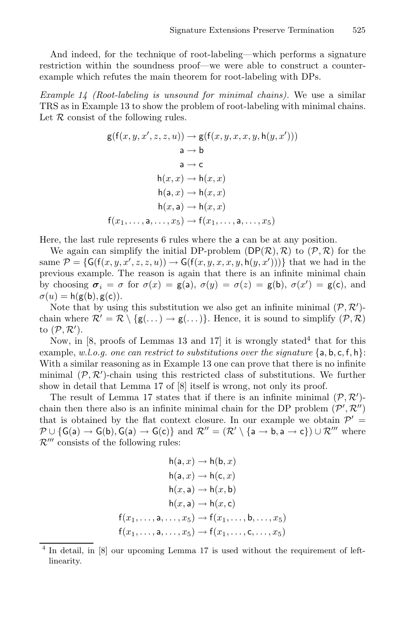And indeed, for the technique of root-labeling—which performs a signature restriction within the soundness proof—we were able to construct a counterexample which refutes the main theorem for root-labeling with DPs.

*Example 14 (Root-labeling is unsound for minimal chains).* We use a similar TRS as in Example 13 to show the problem of root-labeling with minimal chains. Let  $R$  consist of the following rules.

$$
g(f(x, y, x', z, z, u)) \rightarrow g(f(x, y, x, x, y, h(y, x')))
$$
  
\n
$$
a \rightarrow b
$$
  
\n
$$
a \rightarrow c
$$
  
\n
$$
h(x, x) \rightarrow h(x, x)
$$
  
\n
$$
h(a, x) \rightarrow h(x, x)
$$
  
\n
$$
h(x, a) \rightarrow h(x, x)
$$
  
\n
$$
f(x_1, \ldots, a, \ldots, x_5) \rightarrow f(x_1, \ldots, a, \ldots, x_5)
$$

Here, the last rule represents 6 rules where the a can be at any position.

We again can simplify the initial DP-problem  $(DP(\mathcal{R}), \mathcal{R})$  to  $(\mathcal{P}, \mathcal{R})$  for the same  $\mathcal{P} = \{ \mathsf{G}(\mathsf{f}(x,y,x',z,z,u)) \to \mathsf{G}(\mathsf{f}(x,y,x,x,y,\mathsf{h}(y,x'))) \}$  that we had in the previous example. The reason is again that there is an infinite minimal chain by choosing  $\sigma_i = \sigma$  for  $\sigma(x) = g(a), \sigma(y) = \sigma(z) = g(b), \sigma(x') = g(c)$ , and  $\sigma(u) = h(g(b), g(c)).$ 

Note that by using this substitution we also get an infinite minimal  $(\mathcal{P}, \mathcal{R}')$ chain where  $\mathcal{R}' = \mathcal{R} \setminus \{ \mathsf{g}(\ldots) \to \mathsf{g}(\ldots) \}.$  Hence, it is sound to simplify  $(\mathcal{P}, \mathcal{R})$ to  $(\mathcal{P},\mathcal{R}^{\prime}).$ 

Now, in [8, proofs of Lemmas 13 and 17] it is wrongly stated<sup>4</sup> that for this example, *w.l.o.g. one can restrict to substitutions over the signature* {a, b, c, f, h}: With a similar reasoning as in Example 13 one can prove that there is no infinite minimal  $(\mathcal{P}, \mathcal{R}')$ -chain using this restricted class of substitutions. We further show in detail that Lemma 17 of [8] itself is wrong, not only its proof.

The result of Lemma 17 states that if there is an infinite minimal  $(\mathcal{P}, \mathcal{R}')$ chain then there also is an infinite minimal chain for the DP problem  $(\mathcal{P}', \mathcal{R}'')$ that is obtained by the flat context closure. In our example we obtain  $\mathcal{P}' =$  $\mathcal{P} \cup \{\mathsf{G}(\mathsf{a}) \to \mathsf{G}(\mathsf{b}), \mathsf{G}(\mathsf{a}) \to \mathsf{G}(\mathsf{c})\} \, \, \text{and} \, \, \mathcal{R}'' = (\mathcal{R}' \setminus \{\mathsf{a} \to \mathsf{b}, \mathsf{a} \to \mathsf{c}\}) \cup \mathcal{R}''' \, \, \text{where}$  $\mathcal{R}^{\prime\prime\prime}$  consists of the following rules:

$$
h(a, x) \rightarrow h(b, x)
$$
  
\n
$$
h(a, x) \rightarrow h(c, x)
$$
  
\n
$$
h(x, a) \rightarrow h(x, b)
$$
  
\n
$$
h(x, a) \rightarrow h(x, c)
$$
  
\n
$$
f(x_1, \dots, a, \dots, x_5) \rightarrow f(x_1, \dots, b, \dots, x_5)
$$
  
\n
$$
f(x_1, \dots, a, \dots, x_5) \rightarrow f(x_1, \dots, c, \dots, x_5)
$$

<sup>&</sup>lt;sup>4</sup> In detail, in [8] our upcoming Lemma 17 is used without the requirement of leftlinearity.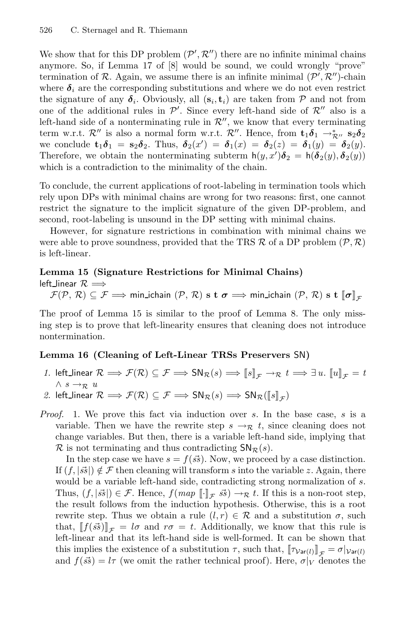We show that for this DP problem  $(\mathcal{P}', \mathcal{R}'')$  there are no infinite minimal chains anymore. So, if Lemma 17 of [8] would be sound, we could wrongly "prove" termination of R. Again, we assume there is an infinite minimal  $(\mathcal{P}', \mathcal{R}'')$ -chain where  $\delta_i$  are the corresponding substitutions and where we do not even restrict the signature of any  $\delta_i$ . Obviously, all  $(s_i, t_i)$  are taken from P and not from one of the additional rules in  $\mathcal{P}'$ . Since every left-hand side of  $\mathcal{R}''$  also is a left-hand side of a nonterminating rule in  $\mathcal{R}''$ , we know that every terminating term w.r.t.  $\mathcal{R}''$  is also a normal form w.r.t.  $\mathcal{R}''$ . Hence, from  $\mathbf{t}_1 \delta_1 \rightarrow_{\mathcal{R}''}^* \mathbf{s}_2 \delta_2$ we conclude  $\mathbf{t}_1 \delta_1 = \mathbf{s}_2 \delta_2$ . Thus,  $\delta_2(x') = \delta_1(x) = \delta_2(z) = \delta_1(y) = \delta_2(y)$ . Therefore, we obtain the nonterminating subterm  $h(y, x')\delta_2 = h(\delta_2(y), \delta_2(y))$ which is a contradiction to the minimality of the chain.

To conclude, the current applications of root-labeling in termination tools which rely upon DPs with minimal chains are wrong for two reasons: first, one cannot restrict the signature to the implicit signature of the given DP-problem, and second, root-labeling is unsound in the DP setting with minimal chains.

However, for signature restrictions in combination with minimal chains we were able to prove soundness, provided that the TRS  $\mathcal R$  of a DP problem  $(\mathcal P,\mathcal R)$ is left-linear.

#### **Lemma 15 (Signature Restrictions for Minimal Chains)**

left\_linear  $\mathcal{R}$   $\Longrightarrow$  $\mathcal{F}(\mathcal{P}, \mathcal{R}) \subseteq \mathcal{F} \Longrightarrow$  min\_ichain  $(\mathcal{P}, \mathcal{R})$  s t  $\sigma \Longrightarrow$  min\_ichain  $(\mathcal{P}, \mathcal{R})$  s t  $\llbracket \sigma \rrbracket_{\mathcal{F}}$ 

The proof of Lemma 15 is similar to the proof of Lemma 8. The only missing step is to prove that left-linearity ensures that cleaning does not introduce nontermination.

#### **Lemma 16 (Cleaning of Left-Linear TRSs Preservers** SN**)**

- *1.* left\_linear  $\mathcal{R} \implies \mathcal{F}(\mathcal{R}) \subseteq \mathcal{F} \implies SN_{\mathcal{R}}(s) \implies [s]_{\mathcal{F}} \to_{\mathcal{R}} t \implies \exists u. [u]_{\mathcal{F}} = t$  $∧ s → R$  *u*
- 2. left\_linear  $\mathcal{R} \Longrightarrow \mathcal{F}(\mathcal{R}) \subseteq \mathcal{F} \Longrightarrow \mathsf{SN}_{\mathcal{R}}(s) \Longrightarrow \mathsf{SN}_{\mathcal{R}}(\llbracket s \rrbracket_{\mathcal{F}})$
- *Proof.* 1. We prove this fact via induction over s. In the base case, s is a variable. Then we have the rewrite step  $s \to \mathcal{R}$  t, since cleaning does not change variables. But then, there is a variable left-hand side, implying that  $\mathcal R$  is not terminating and thus contradicting  $\mathsf{SN}_{\mathcal R}(s)$ .

In the step case we have  $s = f(\vec{s})$ . Now, we proceed by a case distinction. If  $(f, |\vec{s}|) \notin \mathcal{F}$  then cleaning will transform s into the variable z. Again, there would be a variable left-hand side, contradicting strong normalization of s. Thus,  $(f, |\vec{s}|) \in \mathcal{F}$ . Hence,  $f(map \parallel \,]_{\mathcal{F}} \vec{s}$   $\rightarrow \mathcal{F}$  *t*. If this is a non-root step, the result follows from the induction hypothesis. Otherwise, this is a root rewrite step. Thus we obtain a rule  $(l, r) \in \mathcal{R}$  and a substitution  $\sigma$ , such that,  $[[f(\vec{s}\vec{s})]]_{\mathcal{F}} = l\sigma$  and  $r\sigma = t$ . Additionally, we know that this rule is left-linear and that its left-hand side is well-formed. It can be shown that this implies the existence of a substitution  $\tau$ , such that,  $[\![\tau_{\text{Var}(l)}]\!]_{\mathcal{F}} = \sigma|_{\text{Var}(l)}$ and  $f(\vec{s}) = l\tau$  (we omit the rather technical proof). Here,  $\sigma|_V$  denotes the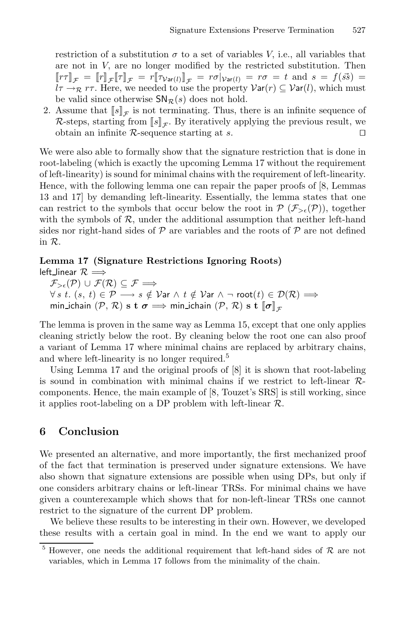restriction of a substitution  $\sigma$  to a set of variables V, i.e., all variables that are not in V, are no longer modified by the restricted substitution. Then  $[\![\tau\tau]\!]_{\mathcal{F}} = [\![\tau]\!]_{\mathcal{F}} [\![\tau]\!]_{\mathcal{F}} = r[\![\tau_{\mathcal{V}\text{ar}(l)}]\!]_{\mathcal{F}} = r\sigma|_{\mathcal{V}\text{ar}(l)} = r\sigma = t \text{ and } s = f(s\bar{s}) =$  $l\tau \rightarrow_{\mathcal{R}} r\tau$ . Here, we needed to use the property  $\mathcal{V}\text{ar}(r) \subseteq \mathcal{V}\text{ar}(l)$ , which must be valid since otherwise  $\mathsf{SN}_{\mathcal{R}}(s)$  does not hold.

2. Assume that  $\llbracket s \rrbracket_{\mathcal{F}}$  is not terminating. Thus, there is an infinite sequence of  $\mathcal{R}$ -steps, starting from  $\llbracket s \rrbracket_{\mathcal{F}}$ . By iteratively applying the previous result, we obtain an infinite  $\mathcal{R}$ -sequence starting at s.

We were also able to formally show that the signature restriction that is done in root-labeling (which is exactly the upcoming Lemma 17 without the requirement of left-linearity) is sound for minimal chains with the requirement of left-linearity. Hence, with the following lemma one can repair the paper proofs of [8, Lemmas 13 and 17] by demanding left-linearity. Essentially, the lemma states that one can restrict to the symbols that occur below the root in  $\mathcal{P}(\mathcal{F}_{\geq \epsilon}(\mathcal{P}))$ , together with the symbols of  $R$ , under the additional assumption that neither left-hand sides nor right-hand sides of  $P$  are variables and the roots of  $P$  are not defined in R.

### **Lemma 17 (Signature Restrictions Ignoring Roots)**

left\_linear  $\mathcal{R}$   $\Longrightarrow$ 

 $\mathcal{F}_{>\epsilon}(\mathcal{P}) \cup \mathcal{F}(\mathcal{R}) \subseteq \mathcal{F} \Longrightarrow$  $\forall s \ t. (s, t) \in \mathcal{P} \longrightarrow s \notin \mathcal{V}$ ar ∧  $t \notin \mathcal{V}$ ar ∧ ¬ root $(t) \in \mathcal{D}(\mathcal{R}) \Longrightarrow$  $min\_ichain (\mathcal{P}, \mathcal{R}) \text{ s t } \sigma \Longrightarrow min\_ichain (\mathcal{P}, \mathcal{R}) \text{ s t } \llbracket \sigma \rrbracket_{\mathcal{F}}$ 

The lemma is proven in the same way as Lemma 15, except that one only applies cleaning strictly below the root. By cleaning below the root one can also proof a variant of Lemma 17 where minimal chains are replaced by arbitrary chains, and where left-linearity is no longer required.<sup>5</sup>

Using Lemma 17 and the original proofs of [8] it is shown that root-labeling is sound in combination with minimal chains if we restrict to left-linear  $\mathcal{R}$ components. Hence, the main example of [8, Touzet's SRS] is still working, since it applies root-labeling on a DP problem with left-linear  $\mathcal{R}$ .

# **6 Conclusion**

We presented an alternative, and more importantly, the first mechanized proof of the fact that termination is preserved under signature extensions. We have also shown that signature extensions are possible when using DPs, but only if one considers arbitrary chains or left-linear TRSs. For minimal chains we have given a counterexample which shows that for non-left-linear TRSs one cannot restrict to the signature of the current DP problem.

We believe these results to be interesting in their own. However, we developed these results with a certain goal in mind. In the end we want to apply our

<sup>5</sup> However, one needs the additional requirement that left-hand sides of *<sup>R</sup>* are not variables, which in Lemma 17 follows from the minimality of the chain.